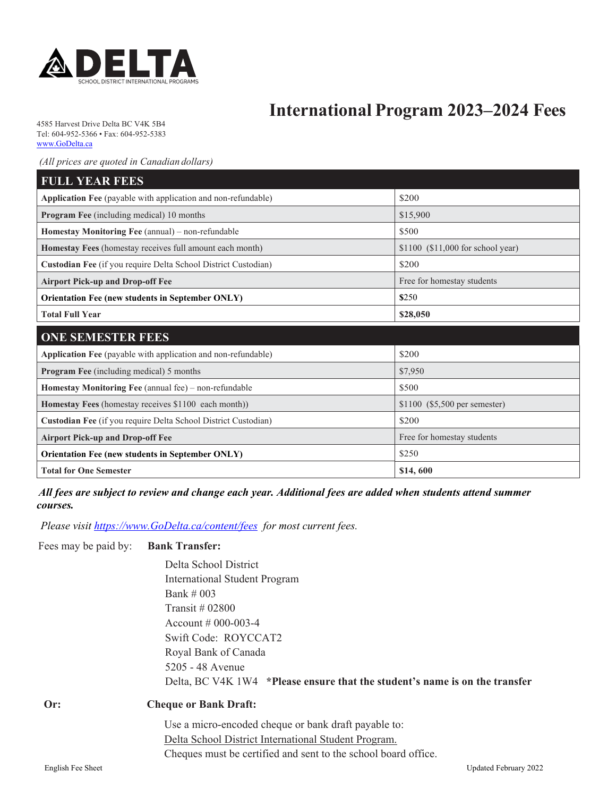

# **International Program 2023–2024 Fees**

4585 Harvest Drive Delta BC V4K 5B4 Tel: 604-952-5366 • Fax: 604-952-5383 www.GoDelta.ca

 *(All prices are quoted in Canadian dollars)* 

| <b>FULL YEAR FEES</b>                                                                         |                               |  |
|-----------------------------------------------------------------------------------------------|-------------------------------|--|
| Application Fee (payable with application and non-refundable)                                 | \$200                         |  |
| Program Fee (including medical) 10 months                                                     | \$15,900                      |  |
| Homestay Monitoring Fee (annual) – non-refundable                                             | \$500                         |  |
| Homestay Fees (homestay receives full amount each month)<br>\$1100 (\$11,000 for school year) |                               |  |
| Custodian Fee (if you require Delta School District Custodian)                                | \$200                         |  |
| <b>Airport Pick-up and Drop-off Fee</b>                                                       | Free for homestay students    |  |
| Orientation Fee (new students in September ONLY)<br>\$250                                     |                               |  |
| <b>Total Full Year</b>                                                                        | \$28,050                      |  |
|                                                                                               |                               |  |
| <b>ONE SEMESTER FEES</b>                                                                      |                               |  |
| Application Fee (payable with application and non-refundable)                                 | \$200                         |  |
| <b>Program Fee</b> (including medical) 5 months                                               | \$7,950                       |  |
| Homestay Monitoring Fee (annual fee) – non-refundable                                         | \$500                         |  |
| Homestay Fees (homestay receives \$1100 each month))                                          | \$1100 (\$5,500 per semester) |  |
| Custodian Fee (if you require Delta School District Custodian)                                | \$200                         |  |
| <b>Airport Pick-up and Drop-off Fee</b>                                                       | Free for homestay students    |  |
| <b>Orientation Fee (new students in September ONLY)</b>                                       | \$250                         |  |

 *All fees are subject to review and change each year. Additional fees are added when students attend summer courses.* 

 *Please visit https://www.GoDelta.ca/content/fees for most current fees.* 

#### Fees may be paid by: **Bank Transfer:**

 Delta School District International Student Program Bank # 003 Transit # 02800 Account # 000-003-4 Swift Code: ROYCCAT2 Royal Bank of Canada 5205 - 48 Avenue Delta, BC V4K 1W4 **\*Please ensure that the student's name is on the transfer** 

| Or: |  |  |  |
|-----|--|--|--|
|     |  |  |  |
|     |  |  |  |

#### **Cheque or Bank Draft:**

Use a micro-encoded cheque or bank draft payable to: Delta School District International Student Program. Cheques must be certified and sent to the school board office.